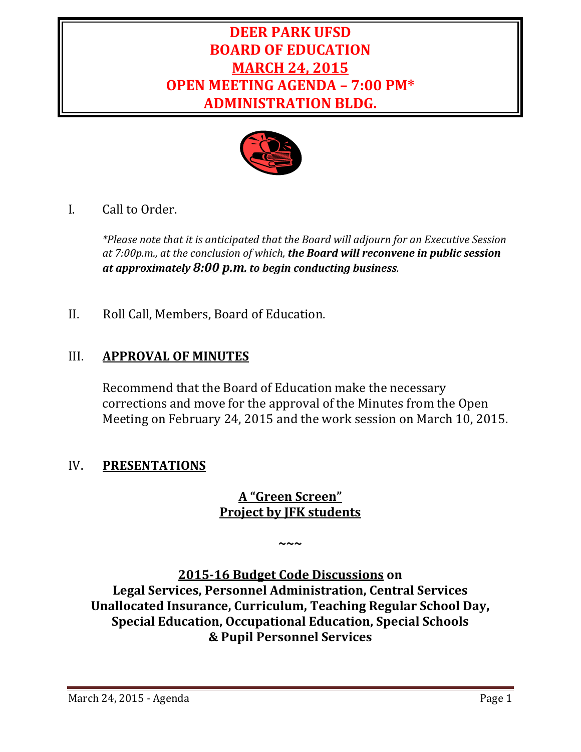# **DEER PARK UFSD BOARD OF EDUCATION MARCH 24, 2015 OPEN MEETING AGENDA – 7:00 PM\* ADMINISTRATION BLDG.**



I. Call to Order.

*\*Please note that it is anticipated that the Board will adjourn for an Executive Session at 7:00p.m., at the conclusion of which, the Board will reconvene in public session at approximately 8:00 p.m. to begin conducting business.*

II. Roll Call, Members, Board of Education.

# III. **APPROVAL OF MINUTES**

Recommend that the Board of Education make the necessary corrections and move for the approval of the Minutes from the Open Meeting on February 24, 2015 and the work session on March 10, 2015.

# IV. **PRESENTATIONS**

# **A "Green Screen" Project by JFK students**

**~~~**

**2015‐16 Budget Code Discussions on Legal Services, Personnel Administration, Central Services Unallocated Insurance, Curriculum, Teaching Regular School Day, Special Education, Occupational Education, Special Schools & Pupil Personnel Services**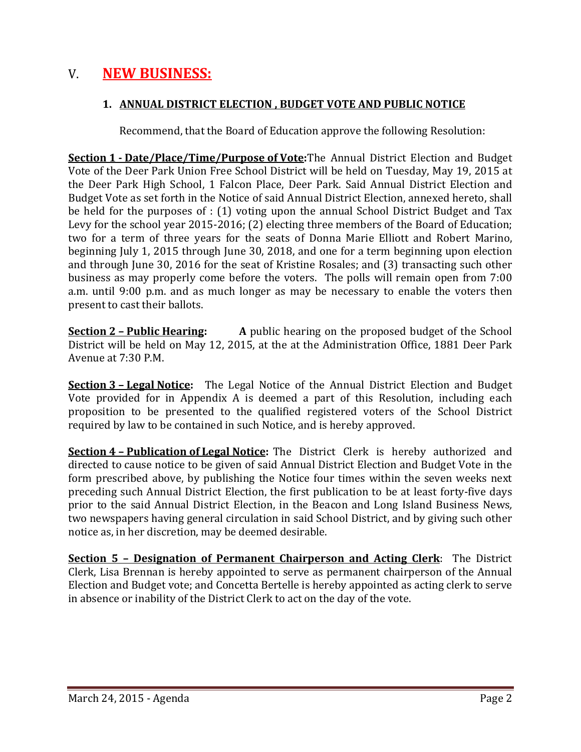# V. **NEW BUSINESS:**

#### **1. ANNUAL DISTRICT ELECTION , BUDGET VOTE AND PUBLIC NOTICE**

Recommend, that the Board of Education approve the following Resolution:

**Section 1 - Date/Place/Time/Purpose of Vote:**The Annual District Election and Budget Vote of the Deer Park Union Free School District will be held on Tuesday, May 19, 2015 at the Deer Park High School, 1 Falcon Place, Deer Park. Said Annual District Election and Budget Vote as set forth in the Notice of said Annual District Election, annexed hereto, shall be held for the purposes of :  $(1)$  voting upon the annual School District Budget and Tax Levy for the school year 2015-2016; (2) electing three members of the Board of Education; two for a term of three years for the seats of Donna Marie Elliott and Robert Marino, beginning July 1, 2015 through June 30, 2018, and one for a term beginning upon election and through June 30, 2016 for the seat of Kristine Rosales; and (3) transacting such other business as may properly come before the voters. The polls will remain open from 7:00 a.m. until 9:00 p.m. and as much longer as may be necessary to enable the voters then present to cast their ballots.

**<u>Section 2 – Public Hearing:</u>** A public hearing on the proposed budget of the School District will be held on May 12, 2015, at the at the Administration Office, 1881 Deer Park Avenue at 7:30 P.M.

**<u>Section 3 – Legal Notice</u>:** The Legal Notice of the Annual District Election and Budget Vote provided for in Appendix A is deemed a part of this Resolution, including each proposition to be presented to the qualified registered voters of the School District required by law to be contained in such Notice, and is hereby approved.

**<u>Section 4 - Publication of Legal Notice</u>**: The District Clerk is hereby authorized and directed to cause notice to be given of said Annual District Election and Budget Vote in the form prescribed above, by publishing the Notice four times within the seven weeks next preceding such Annual District Election, the first publication to be at least forty-five days prior to the said Annual District Election, in the Beacon and Long Island Business News, two newspapers having general circulation in said School District, and by giving such other notice as, in her discretion, may be deemed desirable.

**Section 5 – Designation of Permanent Chairperson and Acting Clerk**: The District Clerk, Lisa Brennan is hereby appointed to serve as permanent chairperson of the Annual Election and Budget vote; and Concetta Bertelle is hereby appointed as acting clerk to serve in absence or inability of the District Clerk to act on the day of the vote.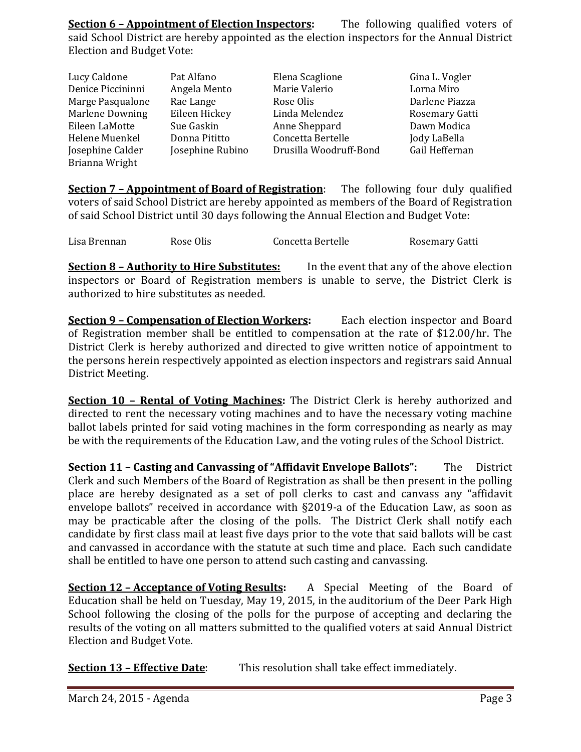**Section 6 – Appointment of Election Inspectors:** The following qualified voters of said School District are hereby appointed as the election inspectors for the Annual District Election and Budget Vote:

| Lucy Caldone      | Pat Alfano       | Elena Scaglione        | Gina L. Vogler |
|-------------------|------------------|------------------------|----------------|
| Denice Piccininni | Angela Mento     | Marie Valerio          | Lorna Miro     |
| Marge Pasqualone  | Rae Lange        | Rose Olis              | Darlene Piazza |
| Marlene Downing   | Eileen Hickey    | Linda Melendez         | Rosemary Gatti |
| Eileen LaMotte    | Sue Gaskin       | Anne Sheppard          | Dawn Modica    |
| Helene Muenkel    | Donna Pititto    | Concetta Bertelle      | Jody LaBella   |
| Josephine Calder  | Josephine Rubino | Drusilla Woodruff-Bond | Gail Heffernan |
| Brianna Wright    |                  |                        |                |

**<u>Section 7 - Appointment of Board of Registration</u>:** The following four duly qualified voters of said School District are hereby appointed as members of the Board of Registration of said School District until 30 days following the Annual Election and Budget Vote:

| Lisa Brennan | Rose Olis | Concetta Bertelle | Rosemary Gatti |
|--------------|-----------|-------------------|----------------|
|              |           |                   |                |

**Section 8 – Authority to Hire Substitutes:** In the event that any of the above election inspectors or Board of Registration members is unable to serve, the District Clerk is authorized to hire substitutes as needed.

**Section 9 – Compensation of Election Workers:** Each election inspector and Board of Registration member shall be entitled to compensation at the rate of \$12.00/hr. The District Clerk is hereby authorized and directed to give written notice of appointment to the persons herein respectively appointed as election inspectors and registrars said Annual District Meeting.

**<u>Section 10 - Rental of Voting Machines</u>**: The District Clerk is hereby authorized and directed to rent the necessary voting machines and to have the necessary voting machine ballot labels printed for said voting machines in the form corresponding as nearly as may be with the requirements of the Education Law, and the voting rules of the School District.

**Section 11 – Casting and Canvassing of "Affidavit Envelope Ballots":** The District Clerk and such Members of the Board of Registration as shall be then present in the polling place are hereby designated as a set of poll clerks to cast and canvass any "affidavit envelope ballots" received in accordance with  $\S2019$ -a of the Education Law, as soon as may be practicable after the closing of the polls. The District Clerk shall notify each candidate by first class mail at least five days prior to the vote that said ballots will be cast and canvassed in accordance with the statute at such time and place. Each such candidate shall be entitled to have one person to attend such casting and canvassing.

**<u>Section 12 – Acceptance of Voting Results</u>:** A Special Meeting of the Board of Education shall be held on Tuesday, May 19, 2015, in the auditorium of the Deer Park High School following the closing of the polls for the purpose of accepting and declaring the results of the voting on all matters submitted to the qualified voters at said Annual District Election and Budget Vote.

**Section 13 – Effective Date:** This resolution shall take effect immediately.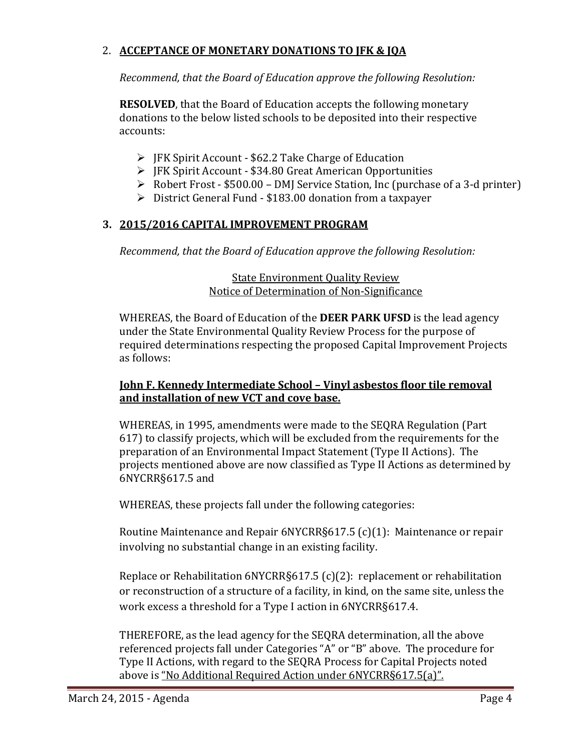# 2. **ACCEPTANCE OF MONETARY DONATIONS TO JFK & JQA**

*Recommend, that the Board of Education approve the following Resolution:*

**RESOLVED**, that the Board of Education accepts the following monetary donations to the below listed schools to be deposited into their respective accounts: 

- $\triangleright$  JFK Spirit Account \$62.2 Take Charge of Education
- ▶ JFK Spirit Account \$34.80 Great American Opportunities
- $\triangleright$  Robert Frost \$500.00 DMJ Service Station, Inc (purchase of a 3-d printer)
- ▶ District General Fund \$183.00 donation from a taxpayer

# **3. 2015/2016 CAPITAL IMPROVEMENT PROGRAM**

*Recommend, that the Board of Education approve the following Resolution:*

#### **State Environment Quality Review** Notice of Determination of Non-Significance

WHEREAS, the Board of Education of the **DEER PARK UFSD** is the lead agency under the State Environmental Quality Review Process for the purpose of required determinations respecting the proposed Capital Improvement Projects as follows:

#### **John F. Kennedy Intermediate School – Vinyl asbestos floor tile removal and installation of new VCT and cove base.**

WHEREAS, in 1995, amendments were made to the SEQRA Regulation (Part 617) to classify projects, which will be excluded from the requirements for the preparation of an Environmental Impact Statement (Type II Actions). The projects mentioned above are now classified as Type II Actions as determined by 6NYCRR§617.5 and 

WHEREAS, these projects fall under the following categories:

Routine Maintenance and Repair  $6NYCRR§617.5$  (c)(1): Maintenance or repair involving no substantial change in an existing facility.

Replace or Rehabilitation  $6NYCRR§617.5$  (c)(2): replacement or rehabilitation or reconstruction of a structure of a facility, in kind, on the same site, unless the work excess a threshold for a Type I action in 6NYCRR§617.4.

THEREFORE, as the lead agency for the SEQRA determination, all the above referenced projects fall under Categories "A" or "B" above. The procedure for Type II Actions, with regard to the SEQRA Process for Capital Projects noted above is "No Additional Required Action under 6NYCRR§617.5(a)".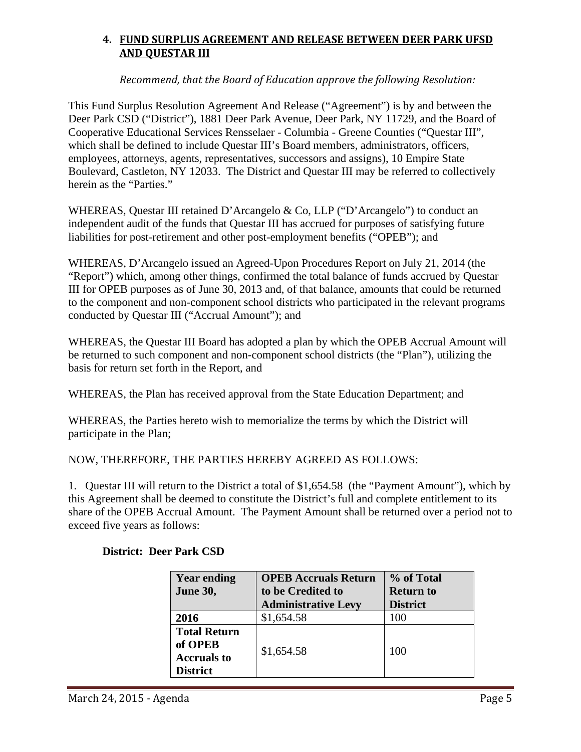# **4. FUND SURPLUS AGREEMENT AND RELEASE BETWEEN DEER PARK UFSD AND QUESTAR III**

*Recommend, that the Board of Education approve the following Resolution:*

This Fund Surplus Resolution Agreement And Release ("Agreement") is by and between the Deer Park CSD ("District"), 1881 Deer Park Avenue, Deer Park, NY 11729, and the Board of Cooperative Educational Services Rensselaer - Columbia - Greene Counties ("Questar III", which shall be defined to include Questar III's Board members, administrators, officers, employees, attorneys, agents, representatives, successors and assigns), 10 Empire State Boulevard, Castleton, NY 12033. The District and Questar III may be referred to collectively herein as the "Parties."

WHEREAS, Questar III retained D'Arcangelo & Co, LLP ("D'Arcangelo") to conduct an independent audit of the funds that Questar III has accrued for purposes of satisfying future liabilities for post-retirement and other post-employment benefits ("OPEB"); and

WHEREAS, D'Arcangelo issued an Agreed-Upon Procedures Report on July 21, 2014 (the "Report") which, among other things, confirmed the total balance of funds accrued by Questar III for OPEB purposes as of June 30, 2013 and, of that balance, amounts that could be returned to the component and non-component school districts who participated in the relevant programs conducted by Questar III ("Accrual Amount"); and

WHEREAS, the Questar III Board has adopted a plan by which the OPEB Accrual Amount will be returned to such component and non-component school districts (the "Plan"), utilizing the basis for return set forth in the Report, and

WHEREAS, the Plan has received approval from the State Education Department; and

WHEREAS, the Parties hereto wish to memorialize the terms by which the District will participate in the Plan;

NOW, THEREFORE, THE PARTIES HEREBY AGREED AS FOLLOWS:

1. Questar III will return to the District a total of \$1,654.58 (the "Payment Amount"), which by this Agreement shall be deemed to constitute the District's full and complete entitlement to its share of the OPEB Accrual Amount. The Payment Amount shall be returned over a period not to exceed five years as follows:

| <b>Year ending</b><br><b>June 30,</b>                                   | <b>OPEB Accruals Return</b><br>to be Credited to<br><b>Administrative Levy</b> | % of Total<br><b>Return to</b><br><b>District</b> |
|-------------------------------------------------------------------------|--------------------------------------------------------------------------------|---------------------------------------------------|
| 2016                                                                    | \$1,654.58                                                                     | 100                                               |
| <b>Total Return</b><br>of OPEB<br><b>Accruals to</b><br><b>District</b> | \$1,654.58                                                                     | 100                                               |

#### **District: Deer Park CSD**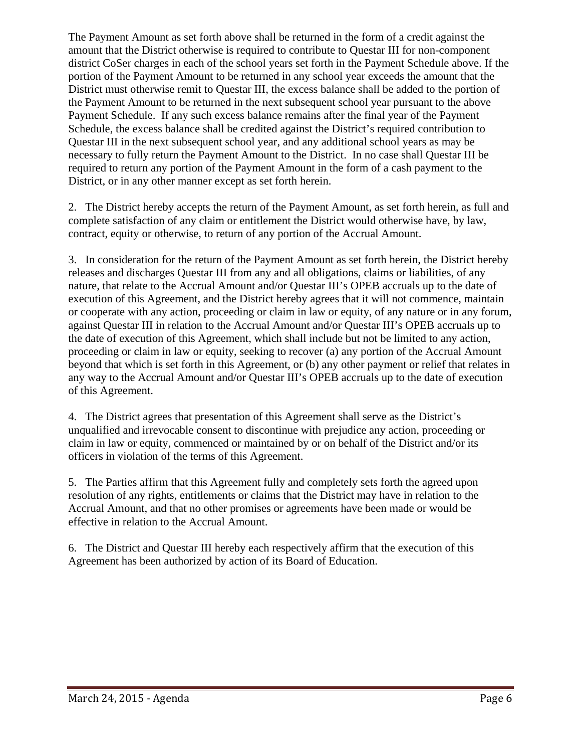The Payment Amount as set forth above shall be returned in the form of a credit against the amount that the District otherwise is required to contribute to Questar III for non-component district CoSer charges in each of the school years set forth in the Payment Schedule above. If the portion of the Payment Amount to be returned in any school year exceeds the amount that the District must otherwise remit to Questar III, the excess balance shall be added to the portion of the Payment Amount to be returned in the next subsequent school year pursuant to the above Payment Schedule. If any such excess balance remains after the final year of the Payment Schedule, the excess balance shall be credited against the District's required contribution to Questar III in the next subsequent school year, and any additional school years as may be necessary to fully return the Payment Amount to the District. In no case shall Questar III be required to return any portion of the Payment Amount in the form of a cash payment to the District, or in any other manner except as set forth herein.

2. The District hereby accepts the return of the Payment Amount, as set forth herein, as full and complete satisfaction of any claim or entitlement the District would otherwise have, by law, contract, equity or otherwise, to return of any portion of the Accrual Amount.

3. In consideration for the return of the Payment Amount as set forth herein, the District hereby releases and discharges Questar III from any and all obligations, claims or liabilities, of any nature, that relate to the Accrual Amount and/or Questar III's OPEB accruals up to the date of execution of this Agreement, and the District hereby agrees that it will not commence, maintain or cooperate with any action, proceeding or claim in law or equity, of any nature or in any forum, against Questar III in relation to the Accrual Amount and/or Questar III's OPEB accruals up to the date of execution of this Agreement, which shall include but not be limited to any action, proceeding or claim in law or equity, seeking to recover (a) any portion of the Accrual Amount beyond that which is set forth in this Agreement, or (b) any other payment or relief that relates in any way to the Accrual Amount and/or Questar III's OPEB accruals up to the date of execution of this Agreement.

4. The District agrees that presentation of this Agreement shall serve as the District's unqualified and irrevocable consent to discontinue with prejudice any action, proceeding or claim in law or equity, commenced or maintained by or on behalf of the District and/or its officers in violation of the terms of this Agreement.

5. The Parties affirm that this Agreement fully and completely sets forth the agreed upon resolution of any rights, entitlements or claims that the District may have in relation to the Accrual Amount, and that no other promises or agreements have been made or would be effective in relation to the Accrual Amount.

6. The District and Questar III hereby each respectively affirm that the execution of this Agreement has been authorized by action of its Board of Education.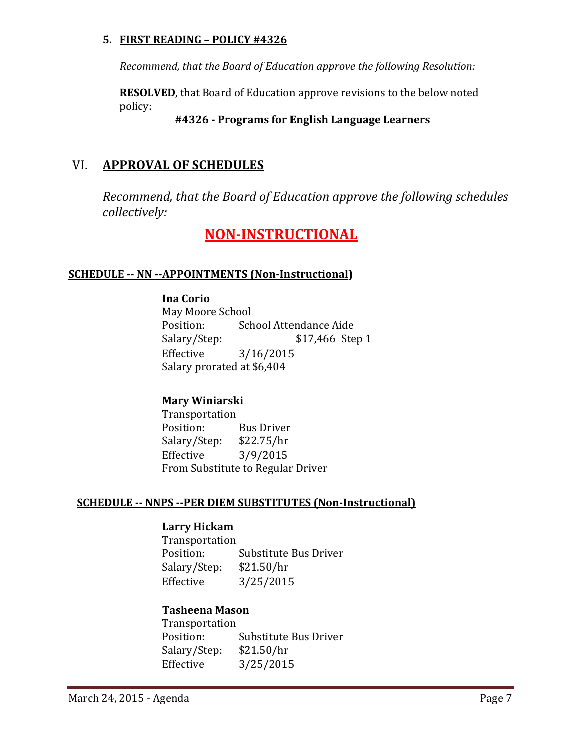#### **5. FIRST READING – POLICY #4326**

*Recommend, that the Board of Education approve the following Resolution:*

**RESOLVED**, that Board of Education approve revisions to the below noted policy: 

# **#4326 ‐ Programs for English Language Learners**

# VI. **APPROVAL OF SCHEDULES**

*Recommend, that the Board of Education approve the following schedules collectively:*

# **NON‐INSTRUCTIONAL**

# **SCHEDULE ‐‐ NN ‐‐APPOINTMENTS (Non‐Instructional)**

#### **Ina Corio**

May Moore School Position: School Attendance Aide Salary/Step: \$17,466 Step 1 Effective 3/16/2015 Salary prorated at \$6,404

# **Mary Winiarski**

 Transportation Position: Bus Driver Salary/Step: \$22.75/hr Effective  $3/9/2015$ From Substitute to Regular Driver

#### **SCHEDULE ‐‐ NNPS ‐‐PER DIEM SUBSTITUTES (Non‐Instructional)**

#### **Larry Hickam**

 Transportation Position: Substitute Bus Driver Salary/Step: \$21.50/hr Effective 3/25/2015

# **Tasheena Mason**

 Transportation Position: Substitute Bus Driver Salary/Step: \$21.50/hr Effective 3/25/2015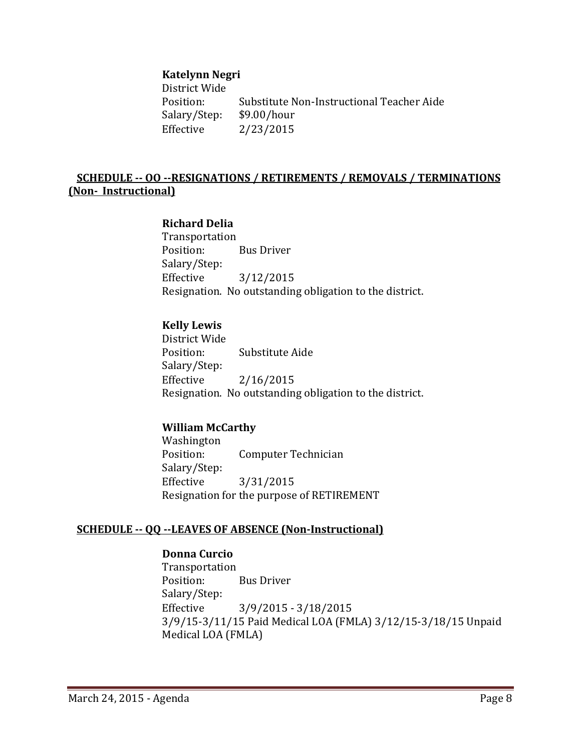#### **Katelynn Negri**

District Wide Position: Substitute Non-Instructional Teacher Aide Salary/Step: \$9.00/hour Effective 2/23/2015

#### **SCHEDULE ‐‐ OO ‐‐RESIGNATIONS / RETIREMENTS / REMOVALS / TERMINATIONS (Non‐ Instructional)**

#### **Richard Delia**

 Transportation Position: Bus Driver Salary/Step: Effective 3/12/2015 Resignation. No outstanding obligation to the district.

#### **Kelly Lewis**

District Wide Position: Substitute Aide Salary/Step: Effective 2/16/2015 Resignation. No outstanding obligation to the district.

#### **William McCarthy**

 Washington Position: Computer Technician Salary/Step: Effective 3/31/2015 Resignation for the purpose of RETIREMENT

#### **SCHEDULE ‐‐ QQ ‐‐LEAVES OF ABSENCE (Non‐Instructional)**

#### **Donna Curcio**

 Transportation Position: Bus Driver Salary/Step: Effective 3/9/2015 - 3/18/2015 3/9/15-3/11/15 Paid Medical LOA (FMLA) 3/12/15-3/18/15 Unpaid Medical LOA (FMLA)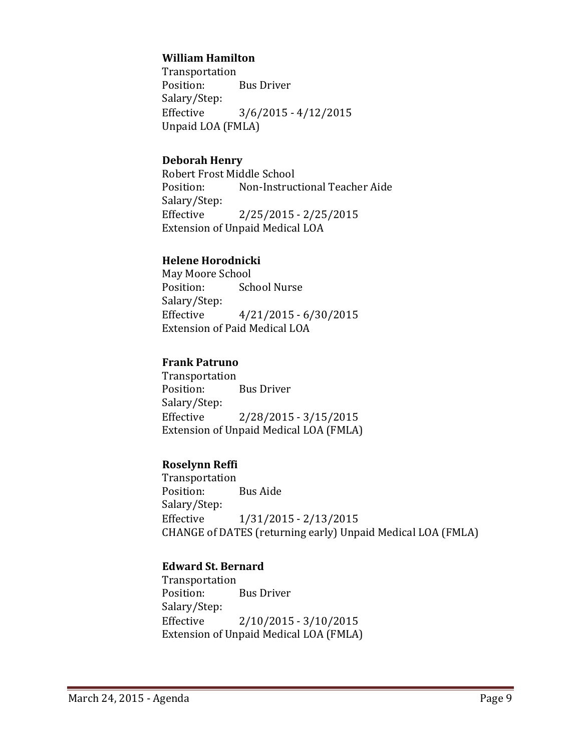#### **William Hamilton**

 Transportation Position: Bus Driver Salary/Step: Effective  $3/6/2015 - 4/12/2015$ Unpaid LOA (FMLA)

#### **Deborah Henry**

Robert Frost Middle School Position: Non-Instructional Teacher Aide Salary/Step: Effective 2/25/2015 - 2/25/2015 Extension of Unpaid Medical LOA

#### **Helene Horodnicki**

May Moore School Position: School Nurse Salary/Step: Effective  $4/21/2015 - 6/30/2015$ Extension of Paid Medical LOA

#### **Frank Patruno**

 Transportation Position: Bus Driver Salary/Step: Effective 2/28/2015 - 3/15/2015 Extension of Unpaid Medical LOA (FMLA)

# **Roselynn Reffi**

 Transportation Position: Bus Aide Salary/Step: Effective  $1/31/2015 - 2/13/2015$ CHANGE of DATES (returning early) Unpaid Medical LOA (FMLA)

# **Edward St. Bernard**

 Transportation Position: Bus Driver Salary/Step: Effective  $2/10/2015 - 3/10/2015$ Extension of Unpaid Medical LOA (FMLA)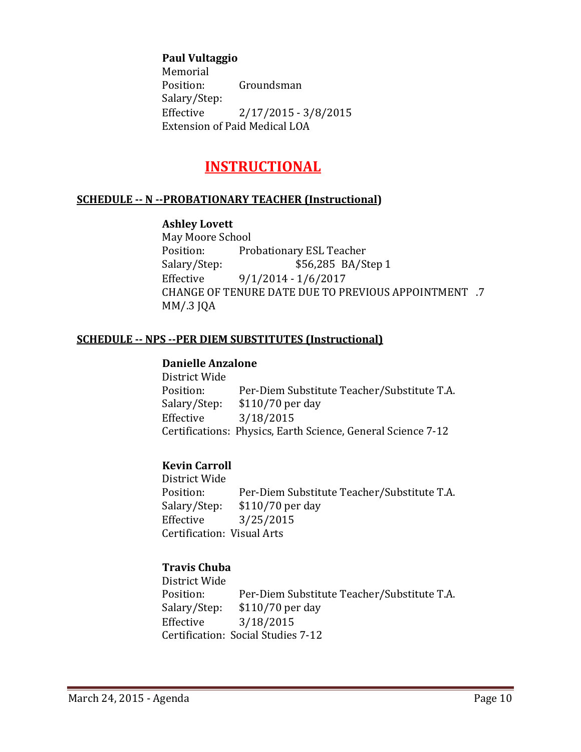#### **Paul Vultaggio**

 Memorial Position: Groundsman Salary/Step: Effective 2/17/2015 - 3/8/2015 Extension of Paid Medical LOA

# **INSTRUCTIONAL**

#### **SCHEDULE ‐‐ N ‐‐PROBATIONARY TEACHER (Instructional)**

#### **Ashley Lovett**

May Moore School Position: Probationary ESL Teacher Salary/Step: \$56,285 BA/Step 1 Effective  $9/1/2014 - 1/6/2017$ CHANGE OF TENURE DATE DUE TO PREVIOUS APPOINTMENT .7 MM/.3 JQA

#### **SCHEDULE ‐‐ NPS ‐‐PER DIEM SUBSTITUTES (Instructional)**

#### **Danielle Anzalone**

District Wide Position: Per-Diem Substitute Teacher/Substitute T.A. Salary/Step: \$110/70 per day Effective 3/18/2015 Certifications: Physics, Earth Science, General Science 7-12

# **Kevin Carroll**

District Wide Position: Per-Diem Substitute Teacher/Substitute T.A. Salary/Step: \$110/70 per day Effective 3/25/2015 Certification: Visual Arts

# **Travis Chuba**

District Wide Position: Per-Diem Substitute Teacher/Substitute T.A. Salary/Step: \$110/70 per day Effective 3/18/2015 Certification: Social Studies 7-12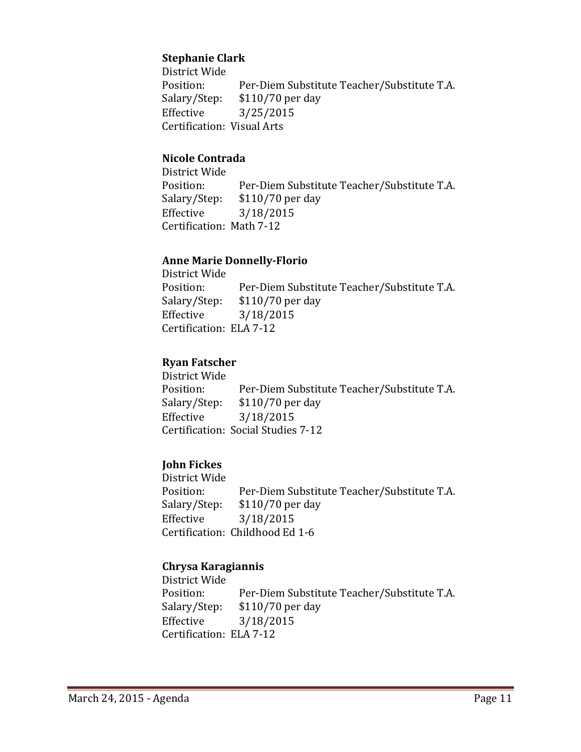# **Stephanie Clark**

District Wide Position: Per-Diem Substitute Teacher/Substitute T.A. Salary/Step: \$110/70 per day Effective 3/25/2015 Certification: Visual Arts

#### **Nicole Contrada**

District Wide Position: Per-Diem Substitute Teacher/Substitute T.A. Salary/Step: \$110/70 per day Effective 3/18/2015 Certification: Math 7-12

#### **Anne Marie Donnelly‐Florio**

District Wide Position: Per-Diem Substitute Teacher/Substitute T.A. Salary/Step: \$110/70 per day Effective 3/18/2015 Certification: ELA 7-12

#### **Ryan Fatscher**

District Wide Position: Per-Diem Substitute Teacher/Substitute T.A. Salary/Step: \$110/70 per day Effective 3/18/2015 Certification: Social Studies 7-12

# **John Fickes**

District Wide Position: Per-Diem Substitute Teacher/Substitute T.A. Salary/Step: \$110/70 per day Effective 3/18/2015 Certification: Childhood Ed 1-6

#### **Chrysa Karagiannis**

District Wide Position: Per-Diem Substitute Teacher/Substitute T.A. Salary/Step: \$110/70 per day Effective 3/18/2015 Certification: ELA 7-12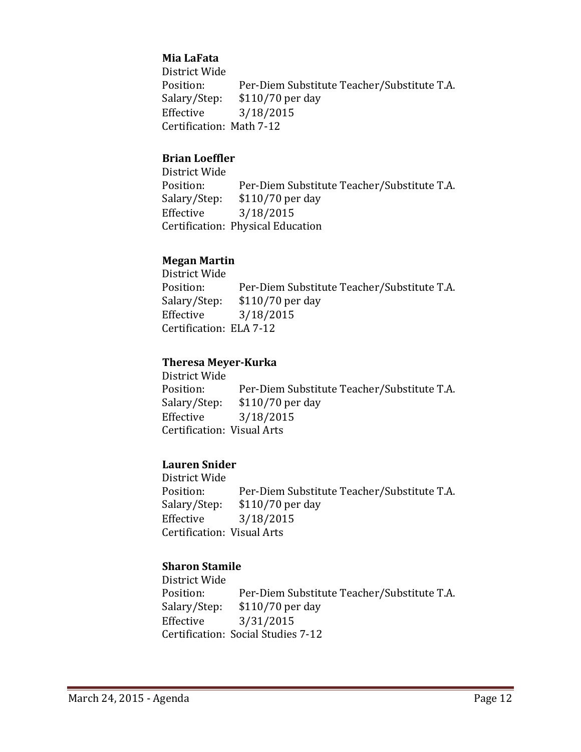# **Mia LaFata**

District Wide Position: Per-Diem Substitute Teacher/Substitute T.A. Salary/Step: \$110/70 per day Effective 3/18/2015 Certification: Math 7-12

#### **Brian Loeffler**

District Wide Position: Per-Diem Substitute Teacher/Substitute T.A. Salary/Step: \$110/70 per day Effective 3/18/2015 Certification: Physical Education

#### **Megan Martin**

District Wide Position: Per-Diem Substitute Teacher/Substitute T.A. Salary/Step: \$110/70 per day Effective 3/18/2015 Certification: ELA 7-12

#### **Theresa Meyer‐Kurka**

District Wide Position: Per-Diem Substitute Teacher/Substitute T.A. Salary/Step: \$110/70 per day Effective 3/18/2015 Certification: Visual Arts

# **Lauren Snider**

District Wide Position: Per-Diem Substitute Teacher/Substitute T.A. Salary/Step: \$110/70 per day Effective 3/18/2015 Certification: Visual Arts

#### **Sharon Stamile**

District Wide Position: Per-Diem Substitute Teacher/Substitute T.A. Salary/Step: \$110/70 per day Effective 3/31/2015 Certification: Social Studies 7-12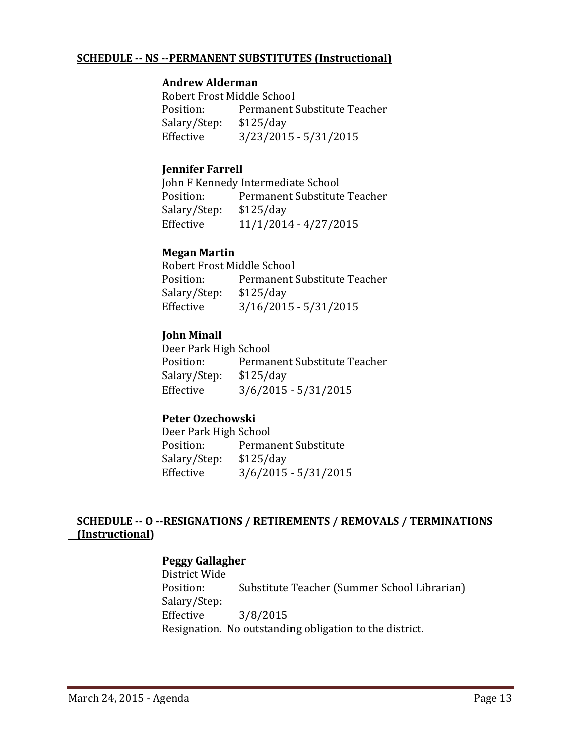#### **SCHEDULE ‐‐ NS ‐‐PERMANENT SUBSTITUTES (Instructional)**

#### **Andrew Alderman**

Robert Frost Middle School Position: Permanent Substitute Teacher Salary/Step: \$125/day Effective 3/23/2015 - 5/31/2015

### **Jennifer Farrell**

John F Kennedy Intermediate School Position: Permanent Substitute Teacher Salary/Step: \$125/day Effective  $11/1/2014 - 4/27/2015$ 

#### **Megan Martin**

Robert Frost Middle School Position: Permanent Substitute Teacher Salary/Step: \$125/day Effective  $3/16/2015 - 5/31/2015$ 

#### **John Minall**

Deer Park High School Position: Permanent Substitute Teacher Salary/Step: \$125/day Effective  $3/6/2015 - 5/31/2015$ 

# **Peter Ozechowski**

Deer Park High School Position: Permanent Substitute Salary/Step: \$125/day Effective  $3/6/2015 - 5/31/2015$ 

# **SCHEDULE ‐‐ O ‐‐RESIGNATIONS / RETIREMENTS / REMOVALS / TERMINATIONS (Instructional)**

#### **Peggy Gallagher**

District Wide Position: Substitute Teacher (Summer School Librarian) Salary/Step: Effective 3/8/2015 Resignation. No outstanding obligation to the district.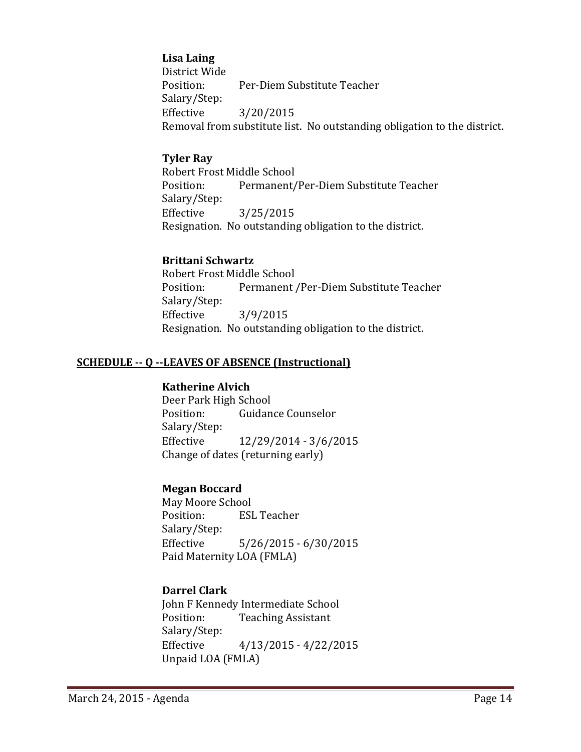#### **Lisa Laing**

District Wide Position: Per‐Diem Substitute Teacher Salary/Step: Effective 3/20/2015 Removal from substitute list. No outstanding obligation to the district.

#### **Tyler Ray**

Robert Frost Middle School Position: Permanent/Per-Diem Substitute Teacher Salary/Step: Effective 3/25/2015 Resignation. No outstanding obligation to the district.

#### **Brittani Schwartz**

Robert Frost Middle School Position: Permanent /Per-Diem Substitute Teacher Salary/Step: Effective 3/9/2015 Resignation. No outstanding obligation to the district.

#### **SCHEDULE ‐‐ Q ‐‐LEAVES OF ABSENCE (Instructional)**

#### **Katherine Alvich**

Deer Park High School Position: Guidance Counselor Salary/Step: Effective  $12/29/2014 - 3/6/2015$ Change of dates (returning early)

#### **Megan Boccard**

May Moore School Position: ESL Teacher Salary/Step: Effective 5/26/2015 - 6/30/2015 Paid Maternity LOA (FMLA)

# **Darrel Clark**

John F Kennedy Intermediate School Position: Teaching Assistant Salary/Step: Effective  $4/13/2015 - 4/22/2015$ Unpaid LOA (FMLA)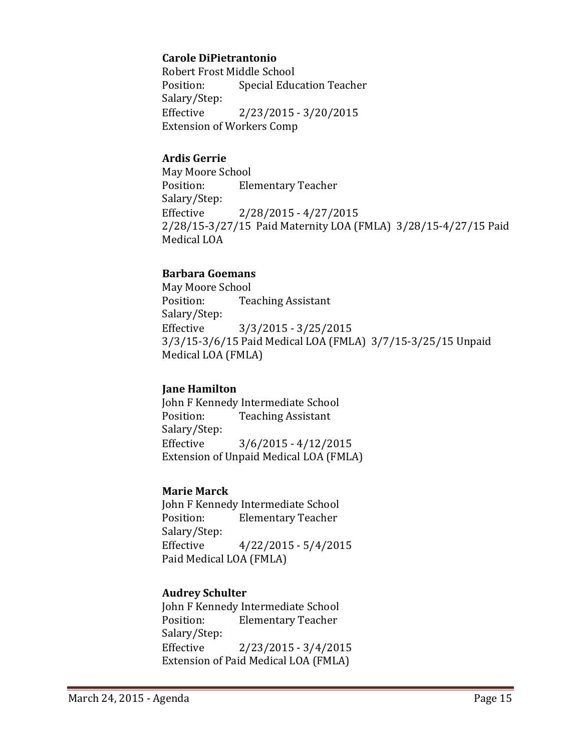#### **Carole DiPietrantonio**

Robert Frost Middle School Position: Special Education Teacher Salary/Step: Effective 2/23/2015 - 3/20/2015 Extension of Workers Comp

#### **Ardis Gerrie**

May Moore School Position: Elementary Teacher Salary/Step: Effective 2/28/2015 - 4/27/2015 2/28/15-3/27/15 Paid Maternity LOA (FMLA) 3/28/15-4/27/15 Paid Medical LOA

#### **Barbara Goemans**

May Moore School Position: Teaching Assistant Salary/Step: Effective  $3/3/2015 - 3/25/2015$ 3/3/15-3/6/15 Paid Medical LOA (FMLA) 3/7/15-3/25/15 Unpaid Medical LOA (FMLA)

#### **Jane Hamilton**

John F Kennedy Intermediate School Position: Teaching Assistant Salary/Step: Effective  $3/6/2015 - 4/12/2015$ Extension of Unpaid Medical LOA (FMLA)

#### **Marie Marck**

John F Kennedy Intermediate School Position: Elementary Teacher Salary/Step: Effective  $4/22/2015 - 5/4/2015$ Paid Medical LOA (FMLA)

# **Audrey Schulter**

John F Kennedy Intermediate School Position: Elementary Teacher Salary/Step: Effective 2/23/2015 - 3/4/2015 Extension of Paid Medical LOA (FMLA)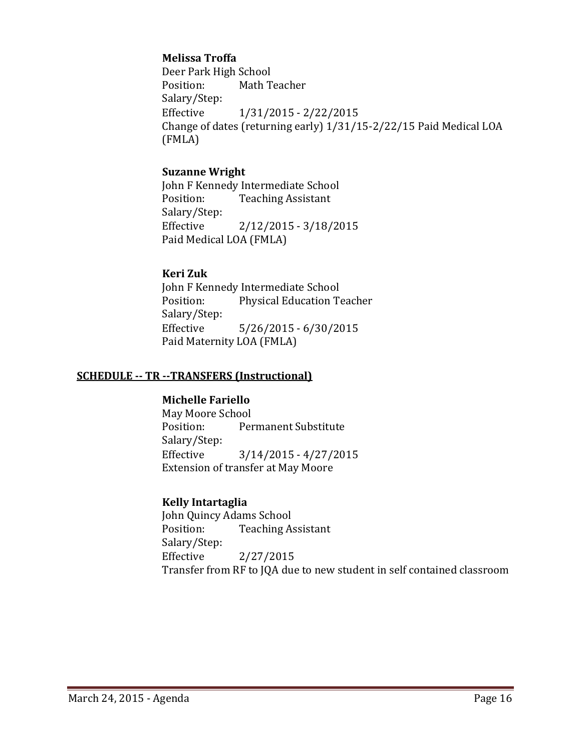#### **Melissa Troffa**

Deer Park High School Position: Math Teacher Salary/Step: Effective  $1/31/2015 - 2/22/2015$ Change of dates (returning early) 1/31/15-2/22/15 Paid Medical LOA (FMLA)

#### **Suzanne Wright**

John F Kennedy Intermediate School Position: Teaching Assistant Salary/Step: Effective 2/12/2015 - 3/18/2015 Paid Medical LOA (FMLA)

#### **Keri Zuk**

John F Kennedy Intermediate School Position: Physical Education Teacher Salary/Step: Effective  $5/26/2015 - 6/30/2015$ Paid Maternity LOA (FMLA)

#### **SCHEDULE ‐‐ TR ‐‐TRANSFERS (Instructional)**

#### **Michelle Fariello**

May Moore School Position: Permanent Substitute Salary/Step: Effective  $3/14/2015 - 4/27/2015$ Extension of transfer at May Moore

#### **Kelly Intartaglia**

John Quincy Adams School Position: Teaching Assistant Salary/Step: Effective 2/27/2015 Transfer from RF to JQA due to new student in self contained classroom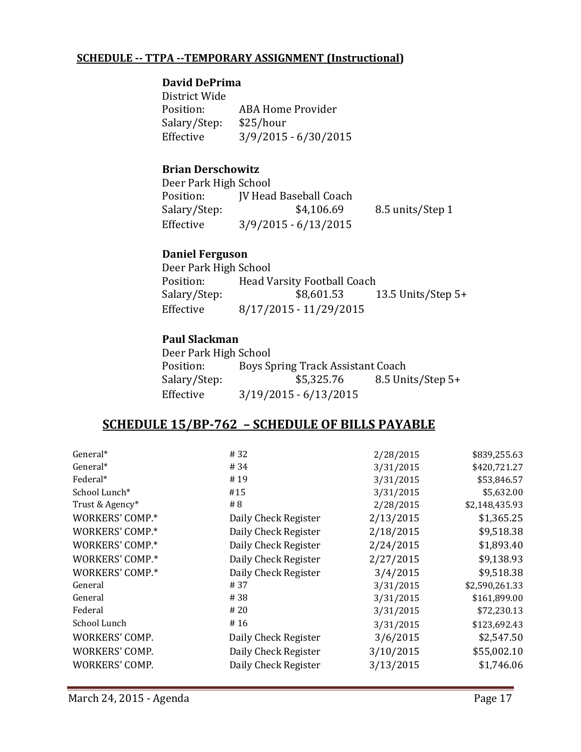#### **SCHEDULE ‐‐ TTPA ‐‐TEMPORARY ASSIGNMENT (Instructional)**

#### **David DePrima**

District Wide Position: ABA Home Provider Salary/Step: \$25/hour Effective 3/9/2015 - 6/30/2015

#### **Brian Derschowitz**

Deer Park High School Position: **JV** Head Baseball Coach Salary/Step: \$4,106.69 8.5 units/Step 1 Effective 3/9/2015 - 6/13/2015

#### **Daniel Ferguson**

Deer Park High School Position: Head Varsity Football Coach Salary/Step:  $$8,601.53$  13.5 Units/Step 5+ Effective 8/17/2015 - 11/29/2015

#### **Paul Slackman**

| Deer Park High School |                                   |                   |
|-----------------------|-----------------------------------|-------------------|
| Position:             | Boys Spring Track Assistant Coach |                   |
| Salary/Step:          | \$5,325.76                        | 8.5 Units/Step 5+ |
| Effective             | $3/19/2015 - 6/13/2015$           |                   |

# **SCHEDULE 15/BP‐762 – SCHEDULE OF BILLS PAYABLE**

| General*        | # 32                 | 2/28/2015 | \$839,255.63   |
|-----------------|----------------------|-----------|----------------|
| General*        | # 34                 | 3/31/2015 | \$420,721.27   |
| Federal*        | #19                  | 3/31/2015 | \$53,846.57    |
| School Lunch*   | #15                  | 3/31/2015 | \$5,632.00     |
| Trust & Agency* | # 8                  | 2/28/2015 | \$2,148,435.93 |
| WORKERS' COMP.* | Daily Check Register | 2/13/2015 | \$1,365.25     |
| WORKERS' COMP.* | Daily Check Register | 2/18/2015 | \$9,518.38     |
| WORKERS' COMP.* | Daily Check Register | 2/24/2015 | \$1,893.40     |
| WORKERS' COMP.* | Daily Check Register | 2/27/2015 | \$9,138.93     |
| WORKERS' COMP.* | Daily Check Register | 3/4/2015  | \$9,518.38     |
| General         | #37                  | 3/31/2015 | \$2,590,261.33 |
| General         | #38                  | 3/31/2015 | \$161,899.00   |
| Federal         | #20                  | 3/31/2015 | \$72,230.13    |
| School Lunch    | #16                  | 3/31/2015 | \$123,692.43   |
| WORKERS' COMP.  | Daily Check Register | 3/6/2015  | \$2,547.50     |
| WORKERS' COMP.  | Daily Check Register | 3/10/2015 | \$55,002.10    |
| WORKERS' COMP.  | Daily Check Register | 3/13/2015 | \$1,746.06     |
|                 |                      |           |                |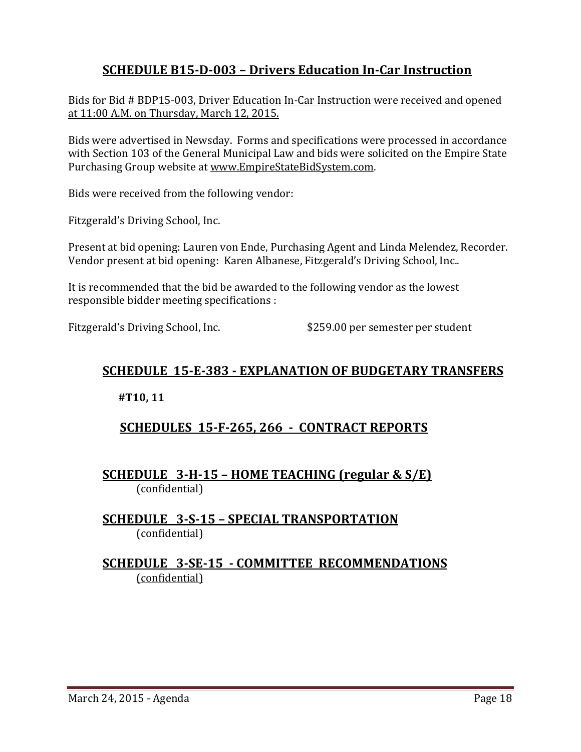# **SCHEDULE B15‐D‐003 – Drivers Education In‐Car Instruction**

Bids for Bid # BDP15-003, Driver Education In-Car Instruction were received and opened at 11:00 A.M. on Thursday, March 12, 2015.

Bids were advertised in Newsday. Forms and specifications were processed in accordance with Section 103 of the General Municipal Law and bids were solicited on the Empire State Purchasing Group website at www.EmpireStateBidSystem.com.

Bids were received from the following vendor:

Fitzgerald's Driving School, Inc.

Present at bid opening: Lauren von Ende, Purchasing Agent and Linda Melendez, Recorder. Vendor present at bid opening: Karen Albanese, Fitzgerald's Driving School, Inc..

It is recommended that the bid be awarded to the following vendor as the lowest responsible bidder meeting specifications :

Fitzgerald's Driving School, Inc. \$259.00 per semester per student

# **SCHEDULE 15‐E‐383 ‐ EXPLANATION OF BUDGETARY TRANSFERS**

**#T10, 11** 

# **SCHEDULES 15‐F‐265, 266 ‐ CONTRACT REPORTS**

**SCHEDULE 3‐H‐15 – HOME TEACHING (regular & S/E)**  (confidential) 

**SCHEDULE 3‐S‐15 – SPECIAL TRANSPORTATION**  (confidential)

# **SCHEDULE 3‐SE‐15 ‐ COMMITTEE RECOMMENDATIONS** (confidential)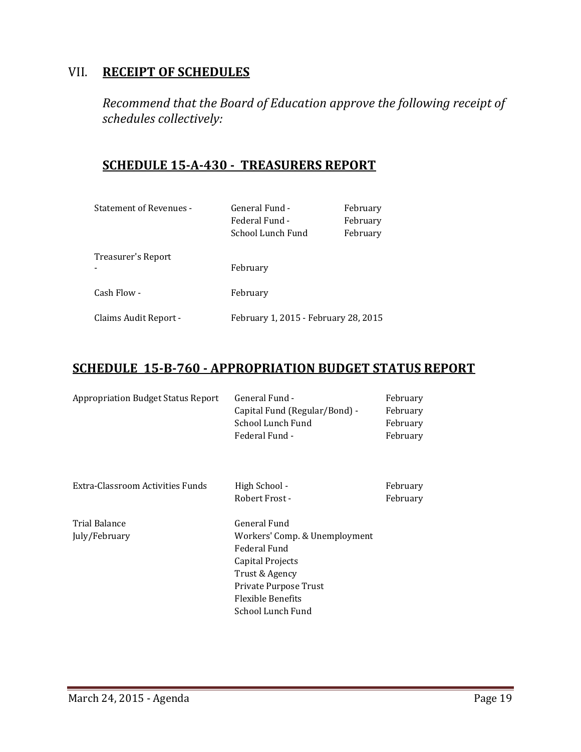# VII. **RECEIPT OF SCHEDULES**

*Recommend that the Board of Education approve the following receipt of schedules collectively:*

# **SCHEDULE 15‐A‐430 ‐ TREASURERS REPORT**

| <b>Statement of Revenues -</b> | General Fund -<br>Federal Fund -<br>School Lunch Fund | February<br>February<br>February |
|--------------------------------|-------------------------------------------------------|----------------------------------|
| Treasurer's Report             | February                                              |                                  |
| Cash Flow -                    | February                                              |                                  |
| Claims Audit Report -          | February 1, 2015 - February 28, 2015                  |                                  |

# **SCHEDULE 15‐B‐760 ‐ APPROPRIATION BUDGET STATUS REPORT**

| <b>Appropriation Budget Status Report</b> | General Fund -<br>Capital Fund (Regular/Bond) -<br>School Lunch Fund<br>Federal Fund - | February<br>February<br>February<br>February |
|-------------------------------------------|----------------------------------------------------------------------------------------|----------------------------------------------|
| Extra-Classroom Activities Funds          | High School -<br>Robert Frost -                                                        | February<br>February                         |
| Trial Balance                             | General Fund                                                                           |                                              |
| July/February                             | Workers' Comp. & Unemployment                                                          |                                              |
|                                           | Federal Fund                                                                           |                                              |
|                                           | Capital Projects                                                                       |                                              |
|                                           | Trust & Agency                                                                         |                                              |
|                                           | Private Purpose Trust                                                                  |                                              |
|                                           | <b>Flexible Benefits</b>                                                               |                                              |
|                                           | School Lunch Fund                                                                      |                                              |